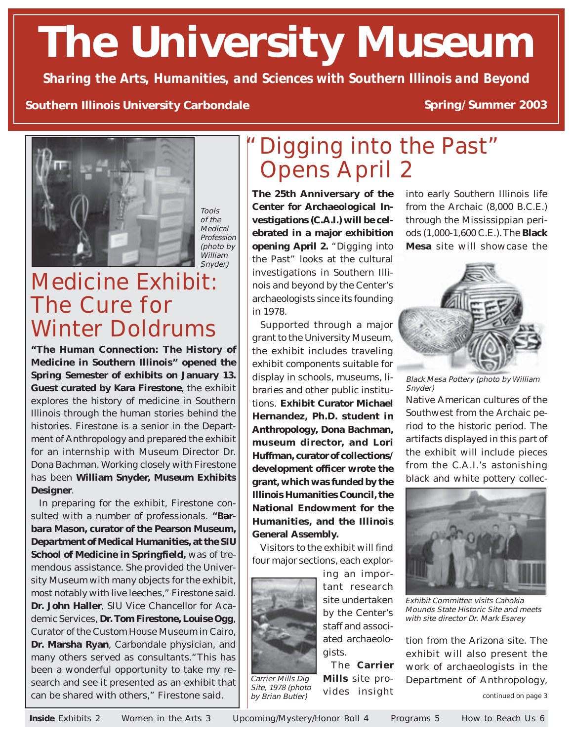# **The University Museum**

*Sharing the Arts, Humanities, and Sciences with Southern Illinois and Beyond*

#### **Southern Illinois University Carbondale**

#### **Spring/Summer 2003**



Tools of the Medical Profession (photo by William Snyder)

## Medicine Exhibit: The Cure for Winter Doldrums

**"The Human Connection: The History of Medicine in Southern Illinois" opened the Spring Semester of exhibits on January 13. Guest curated by Kara Firestone**, the exhibit explores the history of medicine in Southern Illinois through the human stories behind the histories. Firestone is a senior in the Department of Anthropology and prepared the exhibit for an internship with Museum Director Dr. Dona Bachman. Working closely with Firestone has been **William Snyder, Museum Exhibits Designer**.

In preparing for the exhibit, Firestone consulted with a number of professionals. **"Barbara Mason, curator of the Pearson Museum, Department of Medical Humanities, at the SIU School of Medicine in Springfield,** was of tremendous assistance. She provided the University Museum with many objects for the exhibit, most notably with live leeches," Firestone said. **Dr. John Haller**, SIU Vice Chancellor for Academic Services, **Dr. Tom Firestone, Louise Ogg**, Curator of the Custom House Museum in Cairo, **Dr. Marsha Ryan**, Carbondale physician, and many others served as consultants."This has been a wonderful opportunity to take my research and see it presented as an exhibit that can be shared with others," Firestone said.

## Digging into the Past" Opens April 2

**The 25th Anniversary of the Center for Archaeological Investigations (C.A.I.) will be celebrated in a major exhibition opening April 2.** "Digging into the Past" looks at the cultural investigations in Southern Illinois and beyond by the Center's archaeologists since its founding in 1978.

Supported through a major grant to the University Museum, the exhibit includes traveling exhibit components suitable for display in schools, museums, libraries and other public institutions. **Exhibit Curator Michael Hernandez, Ph.D. student in Anthropology, Dona Bachman, museum director, and Lori Huffman, curator of collections/ development officer wrote the grant, which was funded by the Illinois Humanities Council, the National Endowment for the Humanities, and the Illinois General Assembly.**

Visitors to the exhibit will find four major sections, each explor-



Carrier Mills Dig Site, 1978 (photo by Brian Butler)

ing an important research site undertaken by the Center's staff and associated archaeologists.

The **Carrier Mills** site provides insight into early Southern Illinois life from the Archaic (8,000 B.C.E.) through the Mississippian periods (1,000-1,600 C.E.). The **Black Mesa** site will showcase the



Black Mesa Pottery (photo by William Snyder)

Native American cultures of the Southwest from the Archaic period to the historic period. The artifacts displayed in this part of the exhibit will include pieces from the C.A.I.'s astonishing black and white pottery collec-



Exhibit Committee visits Cahokia Mounds State Historic Site and meets with site director Dr. Mark Esarey

tion from the Arizona site. The exhibit will also present the work of archaeologists in the Department of Anthropology,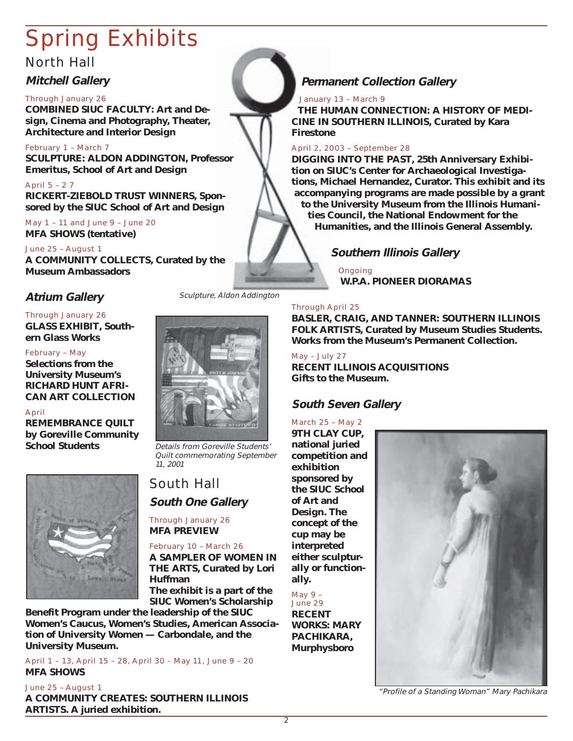## Spring Exhibits

#### North Hall

#### **Mitchell Gallery**

#### Through January 26

**COMBINED SIUC FACULTY: Art and Design, Cinema and Photography, Theater, Architecture and Interior Design**

February 1 – March 7 **SCULPTURE: ALDON ADDINGTON, Professor Emeritus, School of Art and Design**

April 5 – 2 7 **RICKERT-ZIEBOLD TRUST WINNERS, Sponsored by the SIUC School of Art and Design**

May 1 – 11 and June 9 – June 20 **MFA SHOWS (tentative)**

June 25 – August 1 **A COMMUNITY COLLECTS, Curated by the Museum Ambassadors**

#### **Atrium Gallery**

#### Through January 26

**GLASS EXHIBIT, Southern Glass Works**

#### February – May

**Selections from the University Museum's RICHARD HUNT AFRI-CAN ART COLLECTION**

#### April

**REMEMBRANCE QUILT by Goreville Community School Students**



Sculpture, Aldon Addington



Details from Goreville Students' Quilt commemorating September 11, 2001

#### South Hall **South One Gallery**

Through January 26 **MFA PREVIEW**

February 10 – March 26 **A SAMPLER OF WOMEN IN THE ARTS, Curated by Lori Huffman The exhibit is a part of the**

**SIUC Women's Scholarship**

**Benefit Program under the leadership of the SIUC Women's Caucus, Women's Studies, American Association of University Women — Carbondale, and the University Museum.**

April 1 – 13, April 15 – 28, April 30 – May 11, June 9 – 20 **MFA SHOWS**

June 25 – August 1 **A COMMUNITY CREATES: SOUTHERN ILLINOIS ARTISTS. A juried exhibition.**

#### **Permanent Collection Gallery**

#### January 13 – March 9

**THE HUMAN CONNECTION: A HISTORY OF MEDI-CINE IN SOUTHERN ILLINOIS, Curated by Kara Firestone**

#### April 2, 2003 – September 28

**DIGGING INTO THE PAST, 25th Anniversary Exhibition on SIUC's Center for Archaeological Investigations, Michael Hernandez, Curator. This exhibit and its accompanying programs are made possible by a grant to the University Museum from the Illinois Humanities Council, the National Endowment for the Humanities, and the Illinois General Assembly.**

#### **Southern Illinois Gallery**

Ongoing **W.P.A. PIONEER DIORAMAS**

#### Through April 25

**BASLER, CRAIG, AND TANNER: SOUTHERN ILLINOIS FOLK ARTISTS, Curated by Museum Studies Students. Works from the Museum's Permanent Collection.**

May – July 27 **RECENT ILLINOIS ACQUISITIONS Gifts to the Museum.**

#### **South Seven Gallery**

March 25 – May 2 **9TH CLAY CUP, national juried competition and exhibition sponsored by the SIUC School of Art and Design. The concept of the cup may be interpreted either sculpturally or functionally.**

May 9 – June 29 **RECENT WORKS: MARY PACHIKARA, Murphysboro**



"Profile of a Standing Woman" Mary Pachikara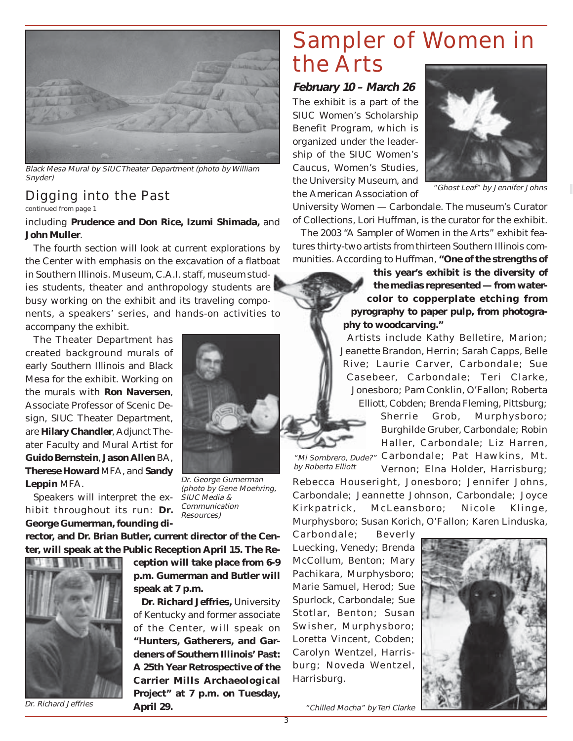

Black Mesa Mural by SIUC Theater Department (photo by William Snyder)

#### Digging into the Past

continued from page 1

including **Prudence and Don Rice, Izumi Shimada,** and **John Muller**.

The fourth section will look at current explorations by the Center with emphasis on the excavation of a flatboat in Southern Illinois. Museum, C.A.I. staff, museum studies students, theater and anthropology students are busy working on the exhibit and its traveling components, a speakers' series, and hands-on activities to accompany the exhibit.

The Theater Department has created background murals of early Southern Illinois and Black Mesa for the exhibit. Working on the murals with **Ron Naversen**, Associate Professor of Scenic Design, SIUC Theater Department, are **Hilary Chandler**, Adjunct Theater Faculty and Mural Artist for **Guido Bernstein**, **Jason Allen** BA, **Therese Howard** MFA, and **Sandy Leppin** MFA.

Speakers will interpret the exhibit throughout its run: **Dr. George Gumerman, founding di-**

**rector, and Dr. Brian Butler, current director of the Cen-**



Dr. Richard Jeffries



Dr. George Gumerman (photo by Gene Moehring, SIUC Media & Communication Resources)

**ter, will speak at the Public Reception April 15. The Re-**

**ception will take place from 6-9 p.m. Gumerman and Butler will speak at 7 p.m.**

**Dr. Richard Jeffries,** University of Kentucky and former associate of the Center, will speak on **"Hunters, Gatherers, and Gardeners of Southern Illinois' Past: A 25th Year Retrospective of the Carrier Mills Archaeological Project" at 7 p.m. on Tuesday, April 29.**

## Sampler of Women in the Arts

**February 10 – March 26**

The exhibit is a part of the SIUC Women's Scholarship Benefit Program, which is organized under the leadership of the SIUC Women's Caucus, Women's Studies, the University Museum, and the American Association of



"Ghost Leaf" by Jennifer Johns

University Women — Carbondale. The museum's Curator of Collections, Lori Huffman, is the curator for the exhibit.

The 2003 "A Sampler of Women in the Arts" exhibit features thirty-two artists from thirteen Southern Illinois communities. According to Huffman, **"One of the strengths of**

> **this year's exhibit is the diversity of the medias represented — from watercolor to copperplate etching from pyrography to paper pulp, from photography to woodcarving."**

Artists include Kathy Belletire, Marion; Jeanette Brandon, Herrin; Sarah Capps, Belle Rive; Laurie Carver, Carbondale; Sue Casebeer, Carbondale; Teri Clarke, Jonesboro; Pam Conklin, O'Fallon; Roberta Elliott, Cobden; Brenda Fleming, Pittsburg;

Sherrie Grob, Murphysboro; Burghilde Gruber, Carbondale; Robin Haller, Carbondale; Liz Harren,

by Roberta Elliott

"Mi Sombrero, Dude?" Carbondale; Pat Hawkins, Mt. Vernon; Elna Holder, Harrisburg;

Rebecca Houseright, Jonesboro; Jennifer Johns, Carbondale; Jeannette Johnson, Carbondale; Joyce Kirkpatrick, McLeansboro; Nicole Klinge, Murphysboro; Susan Korich, O'Fallon; Karen Linduska,

Carbondale; Beverly Luecking, Venedy; Brenda McCollum, Benton; Mary Pachikara, Murphysboro; Marie Samuel, Herod; Sue Spurlock, Carbondale; Sue Stotlar, Benton; Susan Swisher, Murphysboro; Loretta Vincent, Cobden; Carolyn Wentzel, Harrisburg; Noveda Wentzel, Harrisburg.



"Chilled Mocha" by Teri Clarke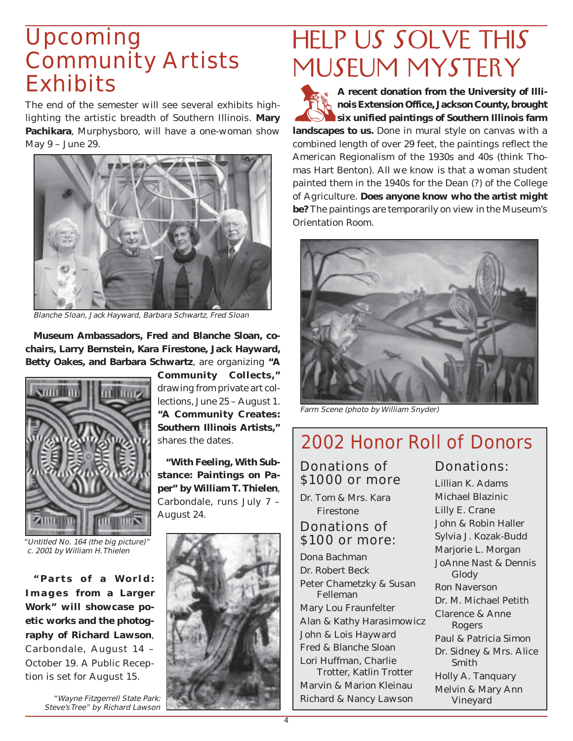## Upcoming Community Artists **Exhibits**

The end of the semester will see several exhibits highlighting the artistic breadth of Southern Illinois. **Mary Pachikara**, Murphysboro, will have a one-woman show May 9 – June 29.



Blanche Sloan, Jack Hayward, Barbara Schwartz, Fred Sloan

**Museum Ambassadors, Fred and Blanche Sloan, cochairs, Larry Bernstein, Kara Firestone, Jack Hayward, Betty Oakes, and Barbara Schwartz**, are organizing **"A**



"Untitled No. 164 (the big picture)" c. 2001 by William H. Thielen

**"Parts of a World: Images from a Larger Work" will showcase poetic works and the photography of Richard Lawson**, Carbondale, August 14 – October 19. A Public Reception is set for August 15.

Steve's Tree" by Richard Lawson

**Community Collects,"** drawing from private art collections, June 25 – August 1. **"A Community Creates: Southern Illinois Artists,"** shares the dates.

**"With Feeling, With Substance: Paintings on Paper" by William T. Thielen**, Carbondale, runs July 7 – August 24.



## HELP US SOLVE THIS MUSEUM MYSTERY

A recent donation from the University of Illi-<br>
nois Extension Office, Jackson County, brought<br>
six unified paintings of Southern Illinois farm **nois Extension Office, Jackson County, brought six unified paintings of Southern Illinois farm landscapes to us.** Done in mural style on canvas with a combined length of over 29 feet, the paintings reflect the American Regionalism of the 1930s and 40s (think Thomas Hart Benton). All we know is that a woman student painted them in the 1940s for the Dean (?) of the College of Agriculture. **Does anyone know who the artist might be?** The paintings are temporarily on view in the Museum's Orientation Room.



Farm Scene (photo by William Snyder)

## 2002 Honor Roll of Donors

Donations of \$1000 or more

Dr. Tom & Mrs. Kara Firestone

#### Donations of \$100 or more:

Dona Bachman Dr. Robert Beck Peter Chametzky & Susan Felleman Mary Lou Fraunfelter Alan & Kathy Harasimowicz John & Lois Hayward Fred & Blanche Sloan Lori Huffman, Charlie Trotter, Katlin Trotter

Marvin & Marion Kleinau

Donations:

Lillian K. Adams Michael Blazinic Lilly E. Crane John & Robin Haller Sylvia J. Kozak-Budd Marjorie L. Morgan JoAnne Nast & Dennis Glody Ron Naverson Dr. M. Michael Petith Clarence & Anne Rogers Paul & Patricia Simon Dr. Sidney & Mrs. Alice Smith Holly A. Tanquary Melvin & Mary Ann Vineyard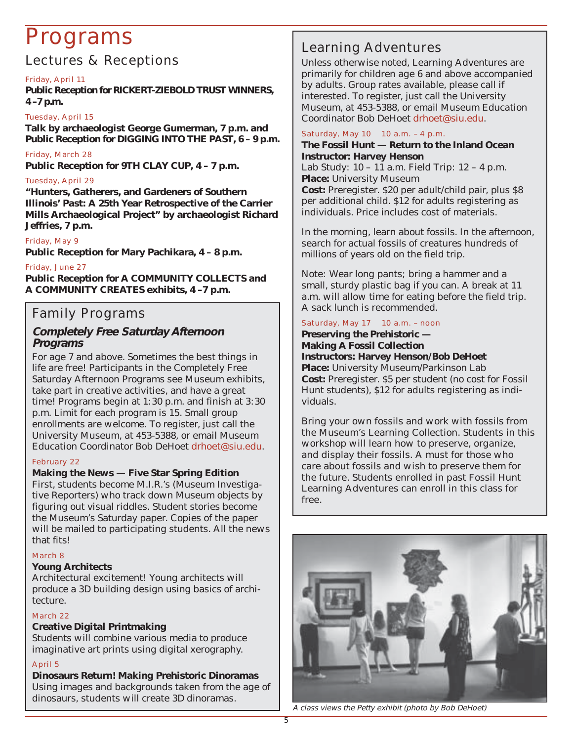## Programs

#### Lectures & Receptions

#### Friday, April 11

**Public Reception for RICKERT-ZIEBOLD TRUST WINNERS, 4 –7 p.m.**

#### Tuesday, April 15

**Talk by archaeologist George Gumerman, 7 p.m. and Public Reception for DIGGING INTO THE PAST, 6 – 9 p.m.**

#### Friday, March 28

**Public Reception for 9TH CLAY CUP, 4 – 7 p.m.**

#### Tuesday, April 29

**"Hunters, Gatherers, and Gardeners of Southern Illinois' Past: A 25th Year Retrospective of the Carrier Mills Archaeological Project" by archaeologist Richard Jeffries, 7 p.m.**

#### Friday, May 9

**Public Reception for Mary Pachikara, 4 – 8 p.m.**

#### Friday, June 27

**Public Reception for A COMMUNITY COLLECTS and A COMMUNITY CREATES exhibits, 4 –7 p.m.**

#### Family Programs

#### **Completely Free Saturday Afternoon Programs**

For age 7 and above. Sometimes the best things in life are free! Participants in the Completely Free Saturday Afternoon Programs see Museum exhibits, take part in creative activities, and have a great time! Programs begin at 1:30 p.m. and finish at 3:30 p.m. Limit for each program is 15. Small group enrollments are welcome. To register, just call the University Museum, at 453-5388, or email Museum Education Coordinator Bob DeHoet drhoet@siu.edu.

#### February 22

**Making the News — Five Star Spring Edition** First, students become M.I.R.'s (Museum Investigative Reporters) who track down Museum objects by figuring out visual riddles. Student stories become the Museum's Saturday paper. Copies of the paper will be mailed to participating students. All the news that fits!

#### March 8

#### **Young Architects**

Architectural excitement! Young architects will produce a 3D building design using basics of architecture.

#### March 22

#### **Creative Digital Printmaking**

Students will combine various media to produce imaginative art prints using digital xerography.

#### April 5

**Dinosaurs Return! Making Prehistoric Dinoramas** Using images and backgrounds taken from the age of dinosaurs, students will create 3D dinoramas.

#### Learning Adventures

Unless otherwise noted, Learning Adventures are primarily for children age 6 and above accompanied by adults. Group rates available, please call if interested. To register, just call the University Museum, at 453-5388, or email Museum Education Coordinator Bob DeHoet drhoet@siu.edu.

#### Saturday, May 10 10 a.m. - 4 p.m.

**The Fossil Hunt — Return to the Inland Ocean Instructor: Harvey Henson** Lab Study: 10 – 11 a.m. Field Trip: 12 – 4 p.m. **Place:** University Museum **Cost:** Preregister. \$20 per adult/child pair, plus \$8 per additional child. \$12 for adults registering as individuals. Price includes cost of materials.

In the morning, learn about fossils. In the afternoon, search for actual fossils of creatures hundreds of millions of years old on the field trip.

Note: Wear long pants; bring a hammer and a small, sturdy plastic bag if you can. A break at 11 a.m. will allow time for eating before the field trip. A sack lunch is recommended.

#### Saturday, May 17 10 a.m. - noon

**Preserving the Prehistoric — Making A Fossil Collection Instructors: Harvey Henson/Bob DeHoet Place:** University Museum/Parkinson Lab **Cost:** Preregister. \$5 per student (no cost for Fossil Hunt students), \$12 for adults registering as individuals.

Bring your own fossils and work with fossils from the Museum's Learning Collection. Students in this workshop will learn how to preserve, organize, and display their fossils. A must for those who care about fossils and wish to preserve them for the future. Students enrolled in past Fossil Hunt Learning Adventures can enroll in this class for free.



A class views the Petty exhibit (photo by Bob DeHoet)